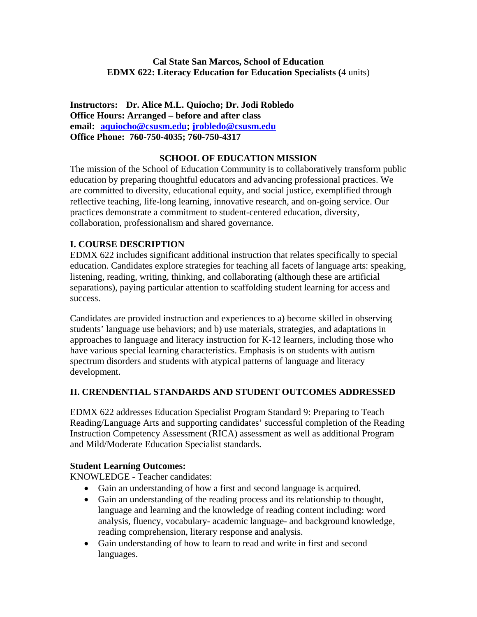# **Cal State San Marcos, School of Education EDMX 622: Literacy Education for Education Specialists (**4 units)

 **email: aquiocho@csusm.edu; jrobledo@csusm.edu Office Phone: 760-750-4035; 760-750-4317 Instructors: Dr. Alice M.L. Quiocho; Dr. Jodi Robledo Office Hours: Arranged – before and after class** 

## **SCHOOL OF EDUCATION MISSION**

The mission of the School of Education Community is to collaboratively transform public education by preparing thoughtful educators and advancing professional practices. We are committed to diversity, educational equity, and social justice, exemplified through reflective teaching, life-long learning, innovative research, and on-going service. Our practices demonstrate a commitment to student-centered education, diversity, collaboration, professionalism and shared governance.

# **I. COURSE DESCRIPTION**

EDMX 622 includes significant additional instruction that relates specifically to special education. Candidates explore strategies for teaching all facets of language arts: speaking, listening, reading, writing, thinking, and collaborating (although these are artificial separations), paying particular attention to scaffolding student learning for access and success.

Candidates are provided instruction and experiences to a) become skilled in observing students' language use behaviors; and b) use materials, strategies, and adaptations in approaches to language and literacy instruction for K-12 learners, including those who have various special learning characteristics. Emphasis is on students with autism spectrum disorders and students with atypical patterns of language and literacy development.

# **II. CRENDENTIAL STANDARDS AND STUDENT OUTCOMES ADDRESSED**

EDMX 622 addresses Education Specialist Program Standard 9: Preparing to Teach Reading/Language Arts and supporting candidates' successful completion of the Reading Instruction Competency Assessment (RICA) assessment as well as additional Program and Mild/Moderate Education Specialist standards.

#### **Student Learning Outcomes:**

KNOWLEDGE - Teacher candidates:

- Gain an understanding of how a first and second language is acquired.
- Gain an understanding of the reading process and its relationship to thought, language and learning and the knowledge of reading content including: word analysis, fluency, vocabulary- academic language- and background knowledge, reading comprehension, literary response and analysis.
- Gain understanding of how to learn to read and write in first and second languages.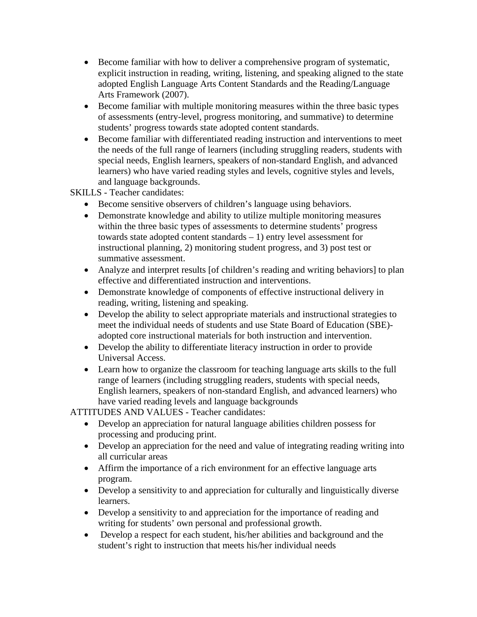- Become familiar with how to deliver a comprehensive program of systematic, explicit instruction in reading, writing, listening, and speaking aligned to the state adopted English Language Arts Content Standards and the Reading/Language Arts Framework (2007).
- Become familiar with multiple monitoring measures within the three basic types of assessments (entry-level, progress monitoring, and summative) to determine students' progress towards state adopted content standards.
- Become familiar with differentiated reading instruction and interventions to meet the needs of the full range of learners (including struggling readers, students with special needs, English learners, speakers of non-standard English, and advanced learners) who have varied reading styles and levels, cognitive styles and levels, and language backgrounds.

SKILLS - Teacher candidates:

- Become sensitive observers of children's language using behaviors.
- Demonstrate knowledge and ability to utilize multiple monitoring measures within the three basic types of assessments to determine students' progress towards state adopted content standards – 1) entry level assessment for instructional planning, 2) monitoring student progress, and 3) post test or summative assessment.
- Analyze and interpret results [of children's reading and writing behaviors] to plan effective and differentiated instruction and interventions.
- Demonstrate knowledge of components of effective instructional delivery in reading, writing, listening and speaking.
- Develop the ability to select appropriate materials and instructional strategies to meet the individual needs of students and use State Board of Education (SBE) adopted core instructional materials for both instruction and intervention.
- Develop the ability to differentiate literacy instruction in order to provide Universal Access.
- Learn how to organize the classroom for teaching language arts skills to the full range of learners (including struggling readers, students with special needs, English learners, speakers of non-standard English, and advanced learners) who have varied reading levels and language backgrounds

ATTITUDES AND VALUES - Teacher candidates:

- Develop an appreciation for natural language abilities children possess for processing and producing print.
- Develop an appreciation for the need and value of integrating reading writing into all curricular areas
- Affirm the importance of a rich environment for an effective language arts program.
- Develop a sensitivity to and appreciation for culturally and linguistically diverse learners.
- Develop a sensitivity to and appreciation for the importance of reading and writing for students' own personal and professional growth.
- Develop a respect for each student, his/her abilities and background and the student's right to instruction that meets his/her individual needs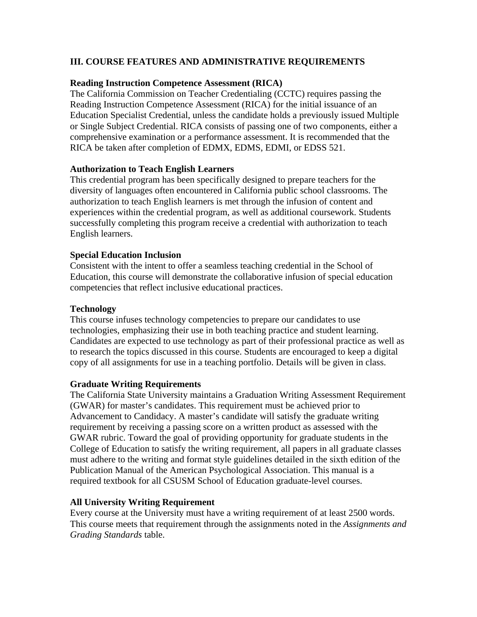# **III. COURSE FEATURES AND ADMINISTRATIVE REQUIREMENTS**

#### **Reading Instruction Competence Assessment (RICA)**

The California Commission on Teacher Credentialing (CCTC) requires passing the Reading Instruction Competence Assessment (RICA) for the initial issuance of an Education Specialist Credential, unless the candidate holds a previously issued Multiple or Single Subject Credential. RICA consists of passing one of two components, either a comprehensive examination or a performance assessment. It is recommended that the RICA be taken after completion of EDMX, EDMS, EDMI, or EDSS 521.

# **Authorization to Teach English Learners**

This credential program has been specifically designed to prepare teachers for the diversity of languages often encountered in California public school classrooms. The authorization to teach English learners is met through the infusion of content and experiences within the credential program, as well as additional coursework. Students successfully completing this program receive a credential with authorization to teach English learners.

# **Special Education Inclusion**

Consistent with the intent to offer a seamless teaching credential in the School of Education, this course will demonstrate the collaborative infusion of special education competencies that reflect inclusive educational practices.

#### **Technology**

This course infuses technology competencies to prepare our candidates to use technologies, emphasizing their use in both teaching practice and student learning. Candidates are expected to use technology as part of their professional practice as well as to research the topics discussed in this course. Students are encouraged to keep a digital copy of all assignments for use in a teaching portfolio. Details will be given in class.

#### **Graduate Writing Requirements**

The California State University maintains a Graduation Writing Assessment Requirement (GWAR) for master's candidates. This requirement must be achieved prior to Advancement to Candidacy. A master's candidate will satisfy the graduate writing requirement by receiving a passing score on a written product as assessed with the GWAR rubric. Toward the goal of providing opportunity for graduate students in the College of Education to satisfy the writing requirement, all papers in all graduate classes must adhere to the writing and format style guidelines detailed in the sixth edition of the Publication Manual of the American Psychological Association. This manual is a required textbook for all CSUSM School of Education graduate-level courses.

#### **All University Writing Requirement**

Every course at the University must have a writing requirement of at least 2500 words. This course meets that requirement through the assignments noted in the *Assignments and Grading Standards* table.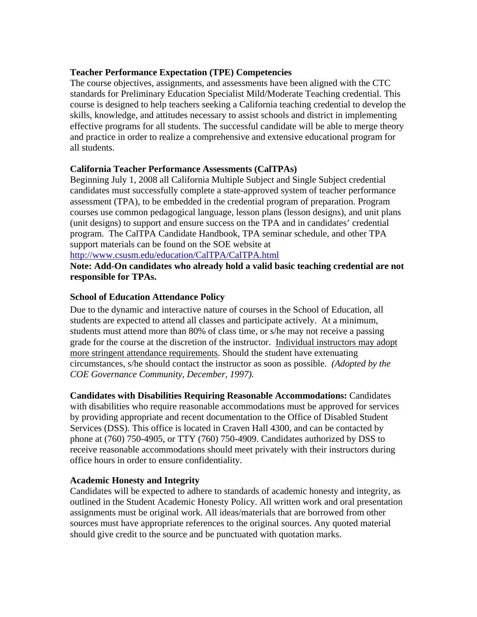## **Teacher Performance Expectation (TPE) Competencies**

The course objectives, assignments, and assessments have been aligned with the CTC standards for Preliminary Education Specialist Mild/Moderate Teaching credential. This course is designed to help teachers seeking a California teaching credential to develop the skills, knowledge, and attitudes necessary to assist schools and district in implementing effective programs for all students. The successful candidate will be able to merge theory and practice in order to realize a comprehensive and extensive educational program for all students.

# **California Teacher Performance Assessments (CalTPAs)**

Beginning July 1, 2008 all California Multiple Subject and Single Subject credential candidates must successfully complete a state-approved system of teacher performance assessment (TPA), to be embedded in the credential program of preparation. Program courses use common pedagogical language, lesson plans (lesson designs), and unit plans (unit designs) to support and ensure success on the TPA and in candidates' credential program. The CalTPA Candidate Handbook, TPA seminar schedule, and other TPA support materials can be found on the SOE website at

#### http://www.csusm.edu/education/CalTPA/CalTPA.html

**Note: Add-On candidates who already hold a valid basic teaching credential are not responsible for TPAs.** 

# **School of Education Attendance Policy**

 *COE Governance Community, December, 1997).*  Due to the dynamic and interactive nature of courses in the School of Education, all students are expected to attend all classes and participate actively. At a minimum, students must attend more than 80% of class time, or s/he may not receive a passing grade for the course at the discretion of the instructor. Individual instructors may adopt more stringent attendance requirements. Should the student have extenuating circumstances, s/he should contact the instructor as soon as possible. *(Adopted by the* 

**Candidates with Disabilities Requiring Reasonable Accommodations:** Candidates with disabilities who require reasonable accommodations must be approved for services by providing appropriate and recent documentation to the Office of Disabled Student Services (DSS). This office is located in Craven Hall 4300, and can be contacted by phone at (760) 750-4905, or TTY (760) 750-4909. Candidates authorized by DSS to receive reasonable accommodations should meet privately with their instructors during office hours in order to ensure confidentiality.

#### **Academic Honesty and Integrity**

Candidates will be expected to adhere to standards of academic honesty and integrity, as outlined in the Student Academic Honesty Policy. All written work and oral presentation assignments must be original work. All ideas/materials that are borrowed from other sources must have appropriate references to the original sources. Any quoted material should give credit to the source and be punctuated with quotation marks.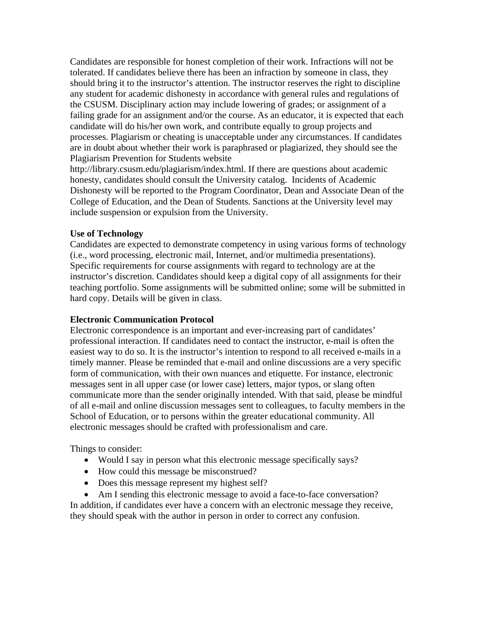Candidates are responsible for honest completion of their work. Infractions will not be tolerated. If candidates believe there has been an infraction by someone in class, they should bring it to the instructor's attention. The instructor reserves the right to discipline any student for academic dishonesty in accordance with general rules and regulations of the CSUSM. Disciplinary action may include lowering of grades; or assignment of a failing grade for an assignment and/or the course. As an educator, it is expected that each candidate will do his/her own work, and contribute equally to group projects and processes. Plagiarism or cheating is unacceptable under any circumstances. If candidates are in doubt about whether their work is paraphrased or plagiarized, they should see the Plagiarism Prevention for Students website

http://library.csusm.edu/plagiarism/index.html. If there are questions about academic honesty, candidates should consult the University catalog. Incidents of Academic Dishonesty will be reported to the Program Coordinator, Dean and Associate Dean of the College of Education, and the Dean of Students. Sanctions at the University level may include suspension or expulsion from the University.

#### **Use of Technology**

Candidates are expected to demonstrate competency in using various forms of technology (i.e., word processing, electronic mail, Internet, and/or multimedia presentations). Specific requirements for course assignments with regard to technology are at the instructor's discretion. Candidates should keep a digital copy of all assignments for their teaching portfolio. Some assignments will be submitted online; some will be submitted in hard copy. Details will be given in class.

#### **Electronic Communication Protocol**

Electronic correspondence is an important and ever-increasing part of candidates' professional interaction. If candidates need to contact the instructor, e-mail is often the easiest way to do so. It is the instructor's intention to respond to all received e-mails in a timely manner. Please be reminded that e-mail and online discussions are a very specific form of communication, with their own nuances and etiquette. For instance, electronic messages sent in all upper case (or lower case) letters, major typos, or slang often communicate more than the sender originally intended. With that said, please be mindful of all e-mail and online discussion messages sent to colleagues, to faculty members in the School of Education, or to persons within the greater educational community. All electronic messages should be crafted with professionalism and care.

Things to consider:

- Would I say in person what this electronic message specifically says?
- How could this message be misconstrued?
- Does this message represent my highest self?
- Am I sending this electronic message to avoid a face-to-face conversation?

In addition, if candidates ever have a concern with an electronic message they receive, they should speak with the author in person in order to correct any confusion.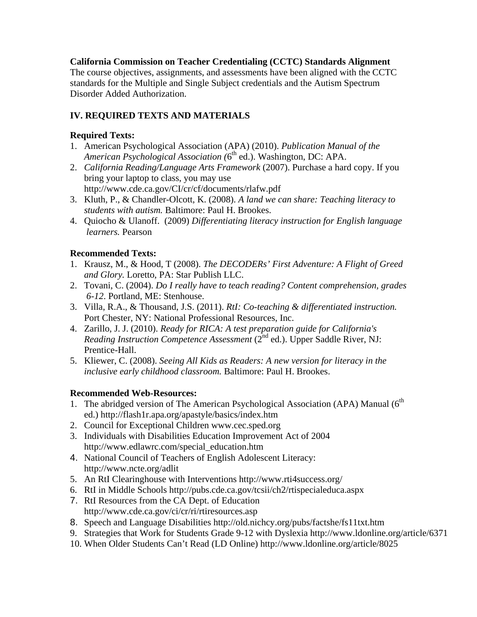# **California Commission on Teacher Credentialing (CCTC) Standards Alignment**

The course objectives, assignments, and assessments have been aligned with the CCTC standards for the Multiple and Single Subject credentials and the Autism Spectrum Disorder Added Authorization.

# **IV. REQUIRED TEXTS AND MATERIALS**

# **Required Texts:**

- 1. American Psychological Association (APA) (2010). *Publication Manual of the American Psychological Association (*6th ed.). Washington, DC: APA.
- 2. *California Reading/Language Arts Framework* (2007). Purchase a hard copy. If you bring your laptop to class, you may use http://www.cde.ca.gov/CI/cr/cf/documents/rlafw.pdf
- 3. Kluth, P., & Chandler-Olcott, K. (2008). *A land we can share: Teaching literacy to students with autism.* Baltimore: Paul H. Brookes.
- 4. Quiocho & Ulanoff. (2009) *Differentiating literacy instruction for English language learners.* Pearson

# **Recommended Texts:**

- 1. Krausz, M., & Hood, T (2008). *The DECODERs' First Adventure: A Flight of Greed and Glory.* Loretto, PA: Star Publish LLC.
- 2. Tovani, C. (2004). *Do I really have to teach reading? Content comprehension, grades 6-12*. Portland, ME: Stenhouse.
- 3. Villa, R.A., & Thousand, J.S. (2011). *RtI: Co-teaching & differentiated instruction.* Port Chester, NY: National Professional Resources, Inc.
- 4. Zarillo, J. J. (2010). *Ready for RICA: A test preparation guide for California's Reading Instruction Competence Assessment* (2<sup>nd</sup> ed.). Upper Saddle River, NJ: Prentice-Hall.
- 5. Kliewer, C. (2008). *Seeing All Kids as Readers: A new version for literacy in the inclusive early childhood classroom.* Baltimore: Paul H. Brookes.

# **Recommended Web-Resources:**

- ed.) http://flash1r.apa.org/apastyle/basics/index.htm 1. The abridged version of The American Psychological Association (APA) Manual  $(6<sup>th</sup>$
- 2. Council for Exceptional Children www.cec.sped.org
- 3. Individuals with Disabilities Education Improvement Act of 2004 http://www.edlawrc.com/special\_education.htm
- 4. National Council of Teachers of English Adolescent Literacy: http://www.ncte.org/adlit
- 5. An RtI Clearinghouse with Interventions http://www.rti4success.org/
- 6. RtI in Middle Schools http://pubs.cde.ca.gov/tcsii/ch2/rtispecialeduca.aspx
- 7. RtI Resources from the CA Dept. of Education http://www.cde.ca.gov/ci/cr/ri/rtiresources.asp
- 8. Speech and Language Disabilities http://old.nichcy.org/pubs/factshe/fs11txt.htm
- 9. Strategies that Work for Students Grade 9-12 with Dyslexia http://www.ldonline.org/article/6371
- 10. When Older Students Can't Read (LD Online) http://www.ldonline.org/article/8025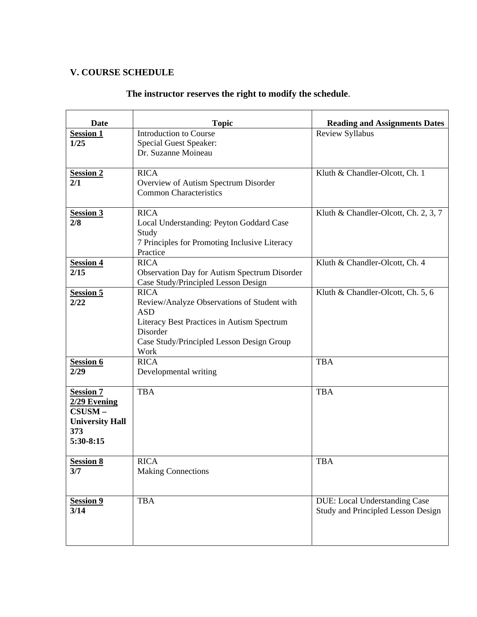# **V. COURSE SCHEDULE**

# **The instructor reserves the right to modify the schedule**.

| <b>Date</b>                                                                              | <b>Topic</b>                                                                                                                                                                            | <b>Reading and Assignments Dates</b>                                |
|------------------------------------------------------------------------------------------|-----------------------------------------------------------------------------------------------------------------------------------------------------------------------------------------|---------------------------------------------------------------------|
| <b>Session 1</b><br>1/25                                                                 | <b>Introduction to Course</b><br><b>Special Guest Speaker:</b><br>Dr. Suzanne Moineau                                                                                                   | <b>Review Syllabus</b>                                              |
| <b>Session 2</b><br>2/1                                                                  | <b>RICA</b><br>Overview of Autism Spectrum Disorder<br><b>Common Characteristics</b>                                                                                                    | Kluth & Chandler-Olcott, Ch. 1                                      |
| <b>Session 3</b><br>2/8                                                                  | <b>RICA</b><br>Local Understanding: Peyton Goddard Case<br>Study<br>7 Principles for Promoting Inclusive Literacy<br>Practice                                                           | Kluth & Chandler-Olcott, Ch. 2, 3, 7                                |
| <b>Session 4</b><br>2/15                                                                 | <b>RICA</b><br><b>Observation Day for Autism Spectrum Disorder</b><br>Case Study/Principled Lesson Design                                                                               | Kluth & Chandler-Olcott, Ch. 4                                      |
| <b>Session 5</b><br>2/22                                                                 | <b>RICA</b><br>Review/Analyze Observations of Student with<br><b>ASD</b><br>Literacy Best Practices in Autism Spectrum<br>Disorder<br>Case Study/Principled Lesson Design Group<br>Work | Kluth & Chandler-Olcott, Ch. 5, 6                                   |
| <b>Session 6</b><br>2/29                                                                 | <b>RICA</b><br>Developmental writing                                                                                                                                                    | <b>TBA</b>                                                          |
| <b>Session 7</b><br>2/29 Evening<br>CSUSM-<br><b>University Hall</b><br>373<br>5:30-8:15 | <b>TBA</b>                                                                                                                                                                              | <b>TBA</b>                                                          |
| <b>Session 8</b><br>3/7                                                                  | <b>RICA</b><br><b>Making Connections</b>                                                                                                                                                | <b>TBA</b>                                                          |
| <b>Session 9</b><br>3/14                                                                 | <b>TBA</b>                                                                                                                                                                              | DUE: Local Understanding Case<br>Study and Principled Lesson Design |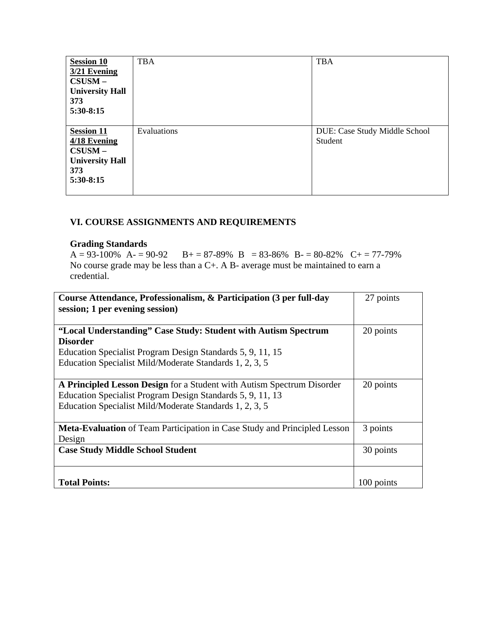| <b>Session 10</b><br>3/21 Evening<br>$CSUSM -$<br><b>University Hall</b><br>373<br>$5:30-8:15$ | <b>TBA</b>  | <b>TBA</b>                               |
|------------------------------------------------------------------------------------------------|-------------|------------------------------------------|
| <b>Session 11</b><br>4/18 Evening<br>$CSUSM -$<br><b>University Hall</b><br>373<br>5:30-8:15   | Evaluations | DUE: Case Study Middle School<br>Student |

# **VI. COURSE ASSIGNMENTS AND REQUIREMENTS**

# **Grading Standards**

 $A = 93-100\%$   $A = 90-92$   $B = 87-89\%$   $B = 83-86\%$   $B = 80-82\%$   $C = 77-79\%$ No course grade may be less than a C+. A B- average must be maintained to earn a credential.

| Course Attendance, Professionalism, & Participation (3 per full-day<br>session; 1 per evening session)                                                                                                     | 27 points  |
|------------------------------------------------------------------------------------------------------------------------------------------------------------------------------------------------------------|------------|
| "Local Understanding" Case Study: Student with Autism Spectrum<br><b>Disorder</b><br>Education Specialist Program Design Standards 5, 9, 11, 15<br>Education Specialist Mild/Moderate Standards 1, 2, 3, 5 | 20 points  |
| A Principled Lesson Design for a Student with Autism Spectrum Disorder<br>Education Specialist Program Design Standards 5, 9, 11, 13<br>Education Specialist Mild/Moderate Standards 1, 2, 3, 5            | 20 points  |
| Meta-Evaluation of Team Participation in Case Study and Principled Lesson<br>Design                                                                                                                        | 3 points   |
| <b>Case Study Middle School Student</b>                                                                                                                                                                    | 30 points  |
| <b>Total Points:</b>                                                                                                                                                                                       | 100 points |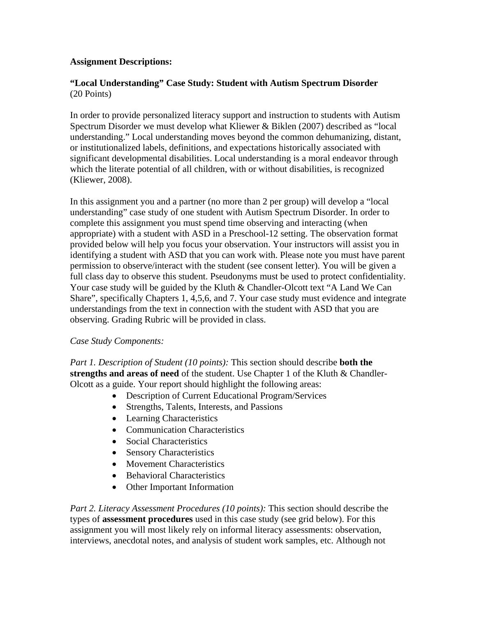# **Assignment Descriptions:**

# **"Local Understanding" Case Study: Student with Autism Spectrum Disorder**  (20 Points)

In order to provide personalized literacy support and instruction to students with Autism Spectrum Disorder we must develop what Kliewer & Biklen (2007) described as "local understanding." Local understanding moves beyond the common dehumanizing, distant, or institutionalized labels, definitions, and expectations historically associated with significant developmental disabilities. Local understanding is a moral endeavor through which the literate potential of all children, with or without disabilities, is recognized (Kliewer, 2008).

In this assignment you and a partner (no more than 2 per group) will develop a "local understanding" case study of one student with Autism Spectrum Disorder. In order to complete this assignment you must spend time observing and interacting (when appropriate) with a student with ASD in a Preschool-12 setting. The observation format provided below will help you focus your observation. Your instructors will assist you in identifying a student with ASD that you can work with. Please note you must have parent permission to observe/interact with the student (see consent letter). You will be given a full class day to observe this student. Pseudonyms must be used to protect confidentiality. Your case study will be guided by the Kluth & Chandler-Olcott text "A Land We Can Share", specifically Chapters 1, 4,5,6, and 7. Your case study must evidence and integrate understandings from the text in connection with the student with ASD that you are observing. Grading Rubric will be provided in class.

#### *Case Study Components:*

*Part 1. Description of Student (10 points):* This section should describe **both the strengths and areas of need** of the student. Use Chapter 1 of the Kluth & Chandler-Olcott as a guide. Your report should highlight the following areas:

- Description of Current Educational Program/Services
- Strengths, Talents, Interests, and Passions
- Learning Characteristics
- Communication Characteristics
- Social Characteristics
- Sensory Characteristics
- Movement Characteristics
- Behavioral Characteristics
- Other Important Information

*Part 2. Literacy Assessment Procedures (10 points):* This section should describe the types of **assessment procedures** used in this case study (see grid below). For this assignment you will most likely rely on informal literacy assessments: observation, interviews, anecdotal notes, and analysis of student work samples, etc. Although not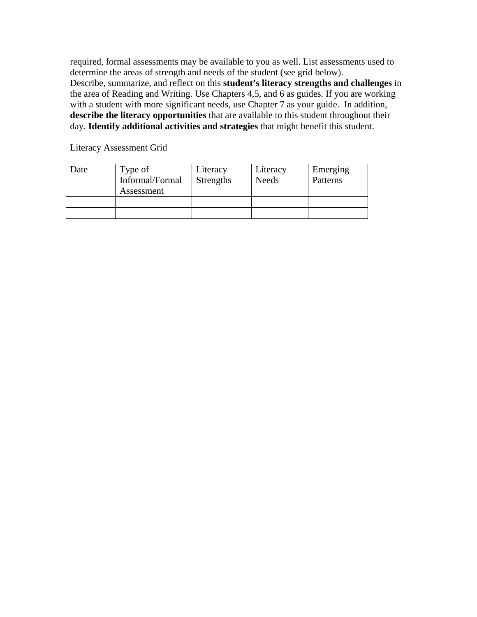required, formal assessments may be available to you as well. List assessments used to determine the areas of strength and needs of the student (see grid below). Describe, summarize, and reflect on this **student's literacy strengths and challenges** in the area of Reading and Writing. Use Chapters 4,5, and 6 as guides. If you are working with a student with more significant needs, use Chapter 7 as your guide. In addition, **describe the literacy opportunities** that are available to this student throughout their day. **Identify additional activities and strategies** that might benefit this student.

Literacy Assessment Grid

| Date | Type of<br>Informal/Formal<br>Assessment | Literacy<br><b>Strengths</b> | Literacy<br><b>Needs</b> | Emerging<br>Patterns |
|------|------------------------------------------|------------------------------|--------------------------|----------------------|
|      |                                          |                              |                          |                      |
|      |                                          |                              |                          |                      |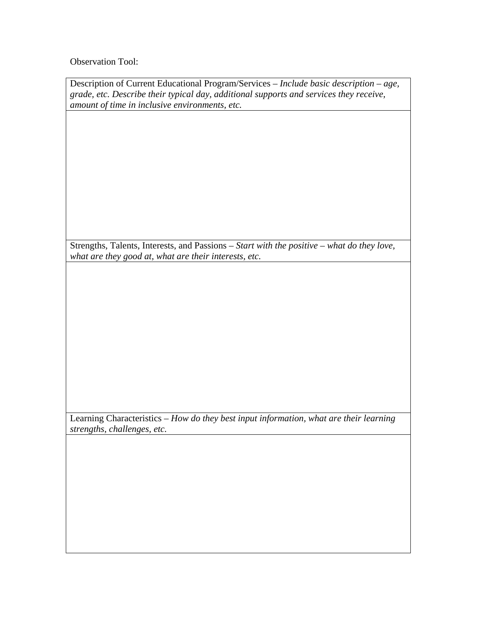Observation Tool:

| Description of Current Educational Program/Services – <i>Include basic description – age</i> , |
|------------------------------------------------------------------------------------------------|
| grade, etc. Describe their typical day, additional supports and services they receive,         |
| amount of time in inclusive environments, etc.                                                 |

Strengths, Talents, Interests, and Passions – *Start with the positive – what do they love, what are they good at, what are their interests, etc.* 

Learning Characteristics – *How do they best input information, what are their learning strengths, challenges, etc.*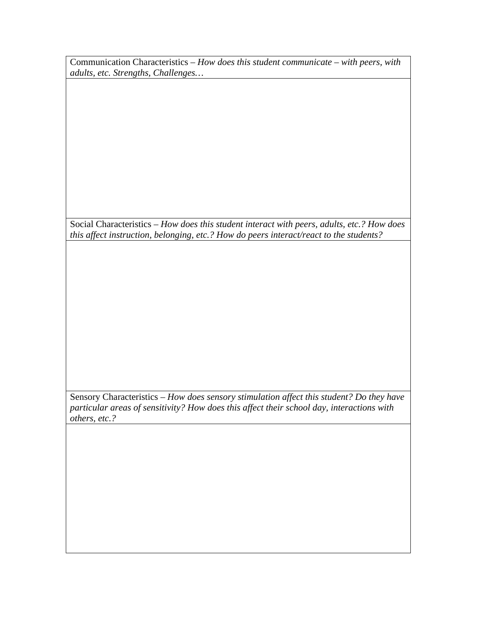Communication Characteristics – *How does this student communicate – with peers, with adults, etc. Strengths, Challenges…* 

Social Characteristics – *How does this student interact with peers, adults, etc.? How does this affect instruction, belonging, etc.? How do peers interact/react to the students?* 

Sensory Characteristics – *How does sensory stimulation affect this student? Do they have particular areas of sensitivity? How does this affect their school day, interactions with others, etc.?*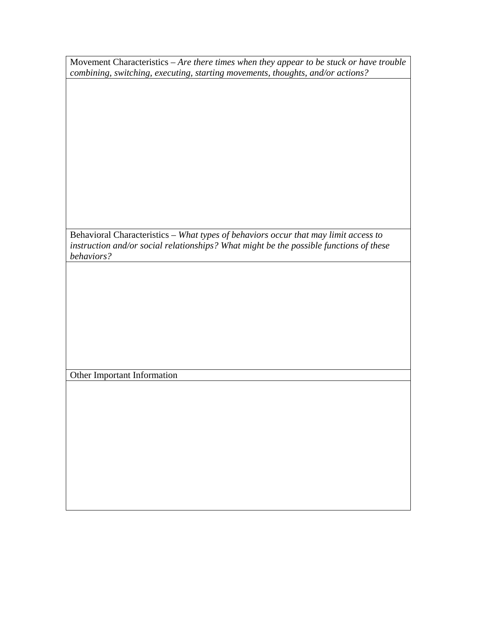| Movement Characteristics - Are there times when they appear to be stuck or have trouble |
|-----------------------------------------------------------------------------------------|
| combining, switching, executing, starting movements, thoughts, and/or actions?          |
|                                                                                         |
|                                                                                         |
|                                                                                         |
|                                                                                         |
|                                                                                         |
|                                                                                         |
|                                                                                         |
|                                                                                         |
|                                                                                         |
|                                                                                         |
| Behavioral Characteristics - What types of behaviors occur that may limit access to     |
| instruction and/or social relationships? What might be the possible functions of these  |
| behaviors?                                                                              |
|                                                                                         |
|                                                                                         |
|                                                                                         |
|                                                                                         |
|                                                                                         |
|                                                                                         |
|                                                                                         |
| Other Important Information                                                             |
|                                                                                         |
|                                                                                         |
|                                                                                         |
|                                                                                         |
|                                                                                         |
|                                                                                         |
|                                                                                         |
|                                                                                         |
|                                                                                         |
|                                                                                         |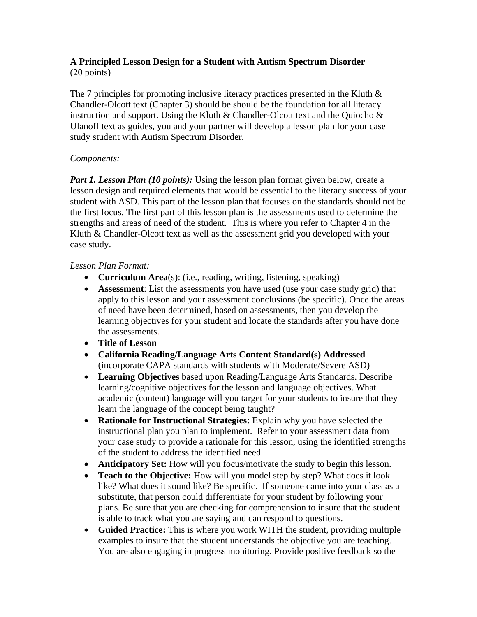# **A Principled Lesson Design for a Student with Autism Spectrum Disorder**  (20 points)

The 7 principles for promoting inclusive literacy practices presented in the Kluth  $\&$ Chandler-Olcott text (Chapter 3) should be should be the foundation for all literacy instruction and support. Using the Kluth & Chandler-Olcott text and the Quiocho & Ulanoff text as guides, you and your partner will develop a lesson plan for your case study student with Autism Spectrum Disorder.

# *Components:*

*Part 1. Lesson Plan (10 points):* Using the lesson plan format given below, create a lesson design and required elements that would be essential to the literacy success of your student with ASD. This part of the lesson plan that focuses on the standards should not be the first focus. The first part of this lesson plan is the assessments used to determine the strengths and areas of need of the student. This is where you refer to Chapter 4 in the Kluth & Chandler-Olcott text as well as the assessment grid you developed with your case study.

# *Lesson Plan Format:*

- **Curriculum Area**(s): (i.e., reading, writing, listening, speaking)
- **Assessment**: List the assessments you have used (use your case study grid) that apply to this lesson and your assessment conclusions (be specific). Once the areas of need have been determined, based on assessments, then you develop the learning objectives for your student and locate the standards after you have done the assessments.
- **Title of Lesson**
- **California Reading/Language Arts Content Standard(s) Addressed** (incorporate CAPA standards with students with Moderate/Severe ASD)
- **Learning Objectives** based upon Reading/Language Arts Standards. Describe learning/cognitive objectives for the lesson and language objectives. What academic (content) language will you target for your students to insure that they learn the language of the concept being taught?
- **Rationale for Instructional Strategies:** Explain why you have selected the instructional plan you plan to implement. Refer to your assessment data from your case study to provide a rationale for this lesson, using the identified strengths of the student to address the identified need.
- **Anticipatory Set:** How will you focus/motivate the study to begin this lesson.
- **Teach to the Objective:** How will you model step by step? What does it look like? What does it sound like? Be specific. If someone came into your class as a substitute, that person could differentiate for your student by following your plans. Be sure that you are checking for comprehension to insure that the student is able to track what you are saying and can respond to questions.
- **Guided Practice:** This is where you work WITH the student, providing multiple examples to insure that the student understands the objective you are teaching. You are also engaging in progress monitoring. Provide positive feedback so the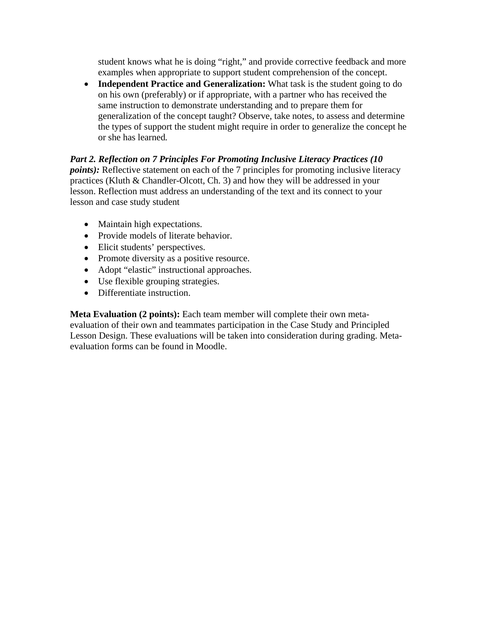student knows what he is doing "right," and provide corrective feedback and more examples when appropriate to support student comprehension of the concept.

• **Independent Practice and Generalization:** What task is the student going to do on his own (preferably) or if appropriate, with a partner who has received the same instruction to demonstrate understanding and to prepare them for generalization of the concept taught? Observe, take notes, to assess and determine the types of support the student might require in order to generalize the concept he or she has learned*.* 

*Part 2. Reflection on 7 Principles For Promoting Inclusive Literacy Practices (10 points*): Reflective statement on each of the 7 principles for promoting inclusive literacy practices (Kluth & Chandler-Olcott, Ch. 3) and how they will be addressed in your lesson. Reflection must address an understanding of the text and its connect to your lesson and case study student

- Maintain high expectations.
- Provide models of literate behavior.
- Elicit students' perspectives.
- Promote diversity as a positive resource.
- Adopt "elastic" instructional approaches.
- Use flexible grouping strategies.
- Differentiate instruction.

**Meta Evaluation (2 points):** Each team member will complete their own metaevaluation of their own and teammates participation in the Case Study and Principled Lesson Design. These evaluations will be taken into consideration during grading. Metaevaluation forms can be found in Moodle.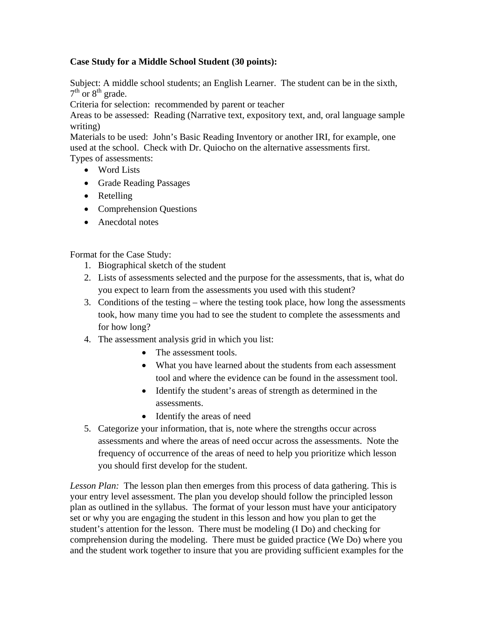# **Case Study for a Middle School Student (30 points):**

Subject: A middle school students; an English Learner. The student can be in the sixth,  $7<sup>th</sup>$  or  $8<sup>th</sup>$  grade.

Criteria for selection: recommended by parent or teacher

Areas to be assessed: Reading (Narrative text, expository text, and, oral language sample writing)

Materials to be used: John's Basic Reading Inventory or another IRI, for example, one used at the school. Check with Dr. Quiocho on the alternative assessments first.

Types of assessments:

- Word Lists
- Grade Reading Passages
- Retelling
- Comprehension Questions
- Anecdotal notes

Format for the Case Study:

- 1. Biographical sketch of the student
- 2. Lists of assessments selected and the purpose for the assessments, that is, what do you expect to learn from the assessments you used with this student?
- 3. Conditions of the testing where the testing took place, how long the assessments took, how many time you had to see the student to complete the assessments and for how long?
- 4. The assessment analysis grid in which you list:
	- The assessment tools.
	- What you have learned about the students from each assessment tool and where the evidence can be found in the assessment tool.
	- Identify the student's areas of strength as determined in the assessments.
	- Identify the areas of need
- 5. Categorize your information, that is, note where the strengths occur across assessments and where the areas of need occur across the assessments. Note the frequency of occurrence of the areas of need to help you prioritize which lesson you should first develop for the student.

*Lesson Plan:* The lesson plan then emerges from this process of data gathering. This is your entry level assessment. The plan you develop should follow the principled lesson plan as outlined in the syllabus. The format of your lesson must have your anticipatory set or why you are engaging the student in this lesson and how you plan to get the student's attention for the lesson. There must be modeling (I Do) and checking for comprehension during the modeling. There must be guided practice (We Do) where you and the student work together to insure that you are providing sufficient examples for the